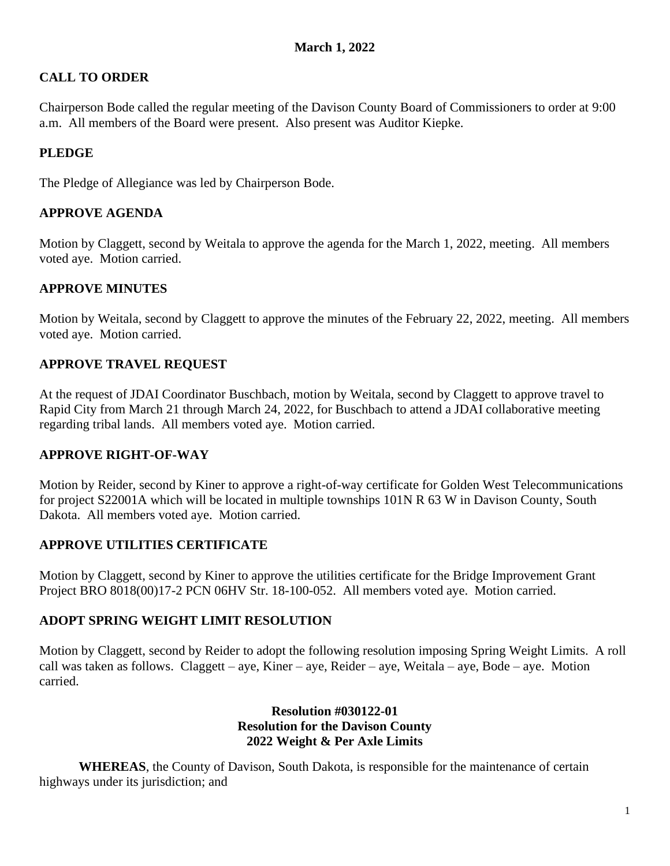# **CALL TO ORDER**

Chairperson Bode called the regular meeting of the Davison County Board of Commissioners to order at 9:00 a.m. All members of the Board were present. Also present was Auditor Kiepke.

# **PLEDGE**

The Pledge of Allegiance was led by Chairperson Bode.

## **APPROVE AGENDA**

Motion by Claggett, second by Weitala to approve the agenda for the March 1, 2022, meeting. All members voted aye. Motion carried.

## **APPROVE MINUTES**

Motion by Weitala, second by Claggett to approve the minutes of the February 22, 2022, meeting. All members voted aye. Motion carried.

# **APPROVE TRAVEL REQUEST**

At the request of JDAI Coordinator Buschbach, motion by Weitala, second by Claggett to approve travel to Rapid City from March 21 through March 24, 2022, for Buschbach to attend a JDAI collaborative meeting regarding tribal lands. All members voted aye. Motion carried.

## **APPROVE RIGHT-OF-WAY**

Motion by Reider, second by Kiner to approve a right-of-way certificate for Golden West Telecommunications for project S22001A which will be located in multiple townships 101N R 63 W in Davison County, South Dakota. All members voted aye. Motion carried.

## **APPROVE UTILITIES CERTIFICATE**

Motion by Claggett, second by Kiner to approve the utilities certificate for the Bridge Improvement Grant Project BRO 8018(00)17-2 PCN 06HV Str. 18-100-052. All members voted aye. Motion carried.

## **ADOPT SPRING WEIGHT LIMIT RESOLUTION**

Motion by Claggett, second by Reider to adopt the following resolution imposing Spring Weight Limits. A roll call was taken as follows. Claggett – aye, Kiner – aye, Reider – aye, Weitala – aye, Bode – aye. Motion carried.

### **Resolution #030122-01 Resolution for the Davison County 2022 Weight & Per Axle Limits**

**WHEREAS**, the County of Davison, South Dakota, is responsible for the maintenance of certain highways under its jurisdiction; and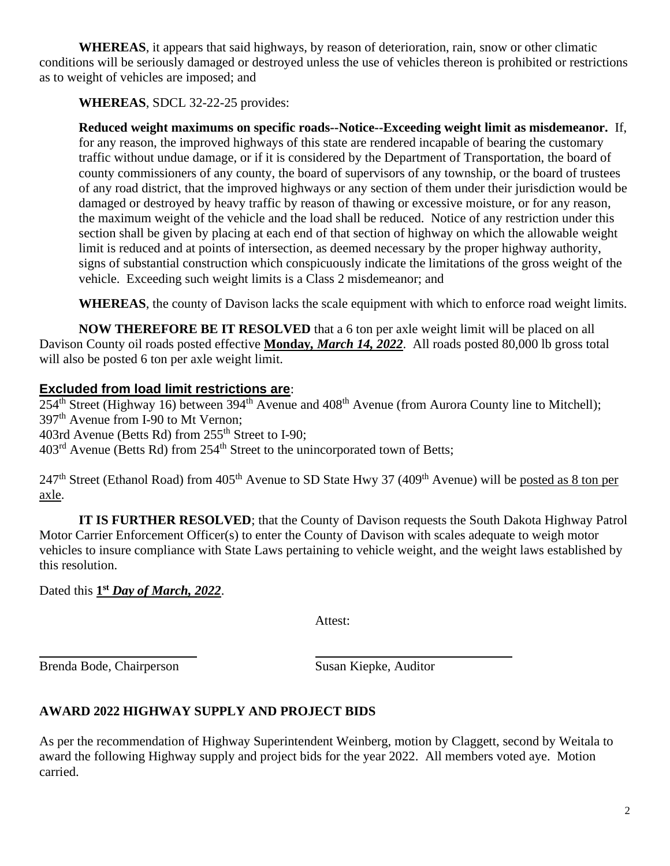**WHEREAS**, it appears that said highways, by reason of deterioration, rain, snow or other climatic conditions will be seriously damaged or destroyed unless the use of vehicles thereon is prohibited or restrictions as to weight of vehicles are imposed; and

**WHEREAS**, SDCL 32-22-25 provides:

**Reduced weight maximums on specific roads--Notice--Exceeding weight limit as misdemeanor.** If, for any reason, the improved highways of this state are rendered incapable of bearing the customary traffic without undue damage, or if it is considered by the Department of Transportation, the board of county commissioners of any county, the board of supervisors of any township, or the board of trustees of any road district, that the improved highways or any section of them under their jurisdiction would be damaged or destroyed by heavy traffic by reason of thawing or excessive moisture, or for any reason, the maximum weight of the vehicle and the load shall be reduced. Notice of any restriction under this section shall be given by placing at each end of that section of highway on which the allowable weight limit is reduced and at points of intersection, as deemed necessary by the proper highway authority, signs of substantial construction which conspicuously indicate the limitations of the gross weight of the vehicle. Exceeding such weight limits is a Class 2 misdemeanor; and

**WHEREAS**, the county of Davison lacks the scale equipment with which to enforce road weight limits.

**NOW THEREFORE BE IT RESOLVED** that a 6 ton per axle weight limit will be placed on all Davison County oil roads posted effective **Monday***, March 14, 2022*. All roads posted 80,000 lb gross total will also be posted 6 ton per axle weight limit.

# **Excluded from load limit restrictions are**:

254<sup>th</sup> Street (Highway 16) between 394<sup>th</sup> Avenue and 408<sup>th</sup> Avenue (from Aurora County line to Mitchell); 397<sup>th</sup> Avenue from I-90 to Mt Vernon; 403rd Avenue (Betts Rd) from 255<sup>th</sup> Street to I-90; 403<sup>rd</sup> Avenue (Betts Rd) from 254<sup>th</sup> Street to the unincorporated town of Betts;

247<sup>th</sup> Street (Ethanol Road) from 405<sup>th</sup> Avenue to SD State Hwy 37 (409<sup>th</sup> Avenue) will be posted as 8 ton per axle.

**IT IS FURTHER RESOLVED**; that the County of Davison requests the South Dakota Highway Patrol Motor Carrier Enforcement Officer(s) to enter the County of Davison with scales adequate to weigh motor vehicles to insure compliance with State Laws pertaining to vehicle weight, and the weight laws established by this resolution.

Dated this  $1<sup>st</sup>$  *Day of March, 2022.* 

Attest:

Brenda Bode, Chairperson Susan Kiepke, Auditor

# **AWARD 2022 HIGHWAY SUPPLY AND PROJECT BIDS**

As per the recommendation of Highway Superintendent Weinberg, motion by Claggett, second by Weitala to award the following Highway supply and project bids for the year 2022. All members voted aye. Motion carried.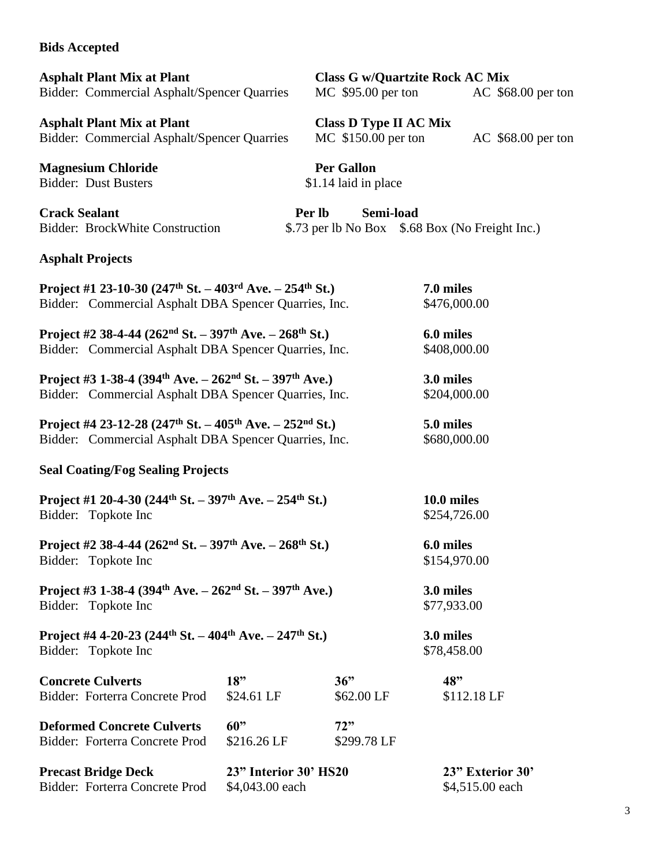#### **Bids Accepted**

**Asphalt Plant Mix at Plant Class G w/Quartzite Rock AC Mix** Bidder: Commercial Asphalt/Spencer Quarries MC \$95.00 per ton AC \$68.00 per ton

**Asphalt Plant Mix at Plant Class D Type II AC Mix**<br>Bidder: Commercial Asphalt/Spencer Quarries MC \$150.00 per ton Bidder: Commercial Asphalt/Spencer Quarries MC \$150.00 per ton AC \$68.00 per ton

**Magnesium Chloride Per Gallon** Bidder: Dust Busters \$1.14 laid in place

**Crack Sealant** Per lb Semi-load

Bidder: BrockWhite Construction \$.73 per lb No Box \$.68 Box (No Freight Inc.)

#### **Asphalt Projects**

| Project #1 23-10-30 (247 <sup>th</sup> St. – 403 <sup>rd</sup> Ave. – 254 <sup>th</sup> St.)<br>Bidder: Commercial Asphalt DBA Spencer Quarries, Inc. | 7.0 miles<br>\$476,000.00  |                    |                                     |
|-------------------------------------------------------------------------------------------------------------------------------------------------------|----------------------------|--------------------|-------------------------------------|
| Project #2 38-4-44 (262 <sup>nd</sup> St. – 397 <sup>th</sup> Ave. – 268 <sup>th</sup> St.)<br>Bidder: Commercial Asphalt DBA Spencer Quarries, Inc.  | 6.0 miles<br>\$408,000.00  |                    |                                     |
| Project #3 1-38-4 (394 <sup>th</sup> Ave. – 262 <sup>nd</sup> St. – 397 <sup>th</sup> Ave.)<br>Bidder: Commercial Asphalt DBA Spencer Quarries, Inc.  | 3.0 miles<br>\$204,000.00  |                    |                                     |
| Project #4 23-12-28 (247 <sup>th</sup> St. - 405 <sup>th</sup> Ave. - 252 <sup>nd</sup> St.)<br>Bidder: Commercial Asphalt DBA Spencer Quarries, Inc. | 5.0 miles<br>\$680,000.00  |                    |                                     |
| <b>Seal Coating/Fog Sealing Projects</b>                                                                                                              |                            |                    |                                     |
| Project #1 20-4-30 (244 <sup>th</sup> St. – 397 <sup>th</sup> Ave. – 254 <sup>th</sup> St.)<br>Bidder: Topkote Inc                                    | 10.0 miles<br>\$254,726.00 |                    |                                     |
| Project #2 38-4-44 (262 <sup>nd</sup> St. – 397 <sup>th</sup> Ave. – 268 <sup>th</sup> St.)<br>Bidder: Topkote Inc                                    | 6.0 miles<br>\$154,970.00  |                    |                                     |
| Project #3 1-38-4 (394 <sup>th</sup> Ave. – 262 <sup>nd</sup> St. – 397 <sup>th</sup> Ave.)<br>Bidder: Topkote Inc                                    | 3.0 miles<br>\$77,933.00   |                    |                                     |
| Project #4 4-20-23 (244 <sup>th</sup> St. – 404 <sup>th</sup> Ave. – 247 <sup>th</sup> St.)<br>Bidder: Topkote Inc                                    | 3.0 miles<br>\$78,458.00   |                    |                                     |
| <b>Concrete Culverts</b>                                                                                                                              | 18"                        | 36"                | 48"                                 |
| Bidder: Forterra Concrete Prod                                                                                                                        | \$24.61 LF                 | \$62.00 LF         | \$112.18 LF                         |
| <b>Deformed Concrete Culverts</b><br>Bidder: Forterra Concrete Prod                                                                                   | 60"<br>\$216.26 LF         | 72"<br>\$299.78 LF |                                     |
| 23" Interior 30' HS20<br><b>Precast Bridge Deck</b><br>Bidder: Forterra Concrete Prod<br>\$4,043.00 each                                              |                            |                    | 23" Exterior 30'<br>\$4,515.00 each |

| ۰.           |
|--------------|
| ۰,           |
|              |
| I<br>I<br>۰. |
| ×<br>٠       |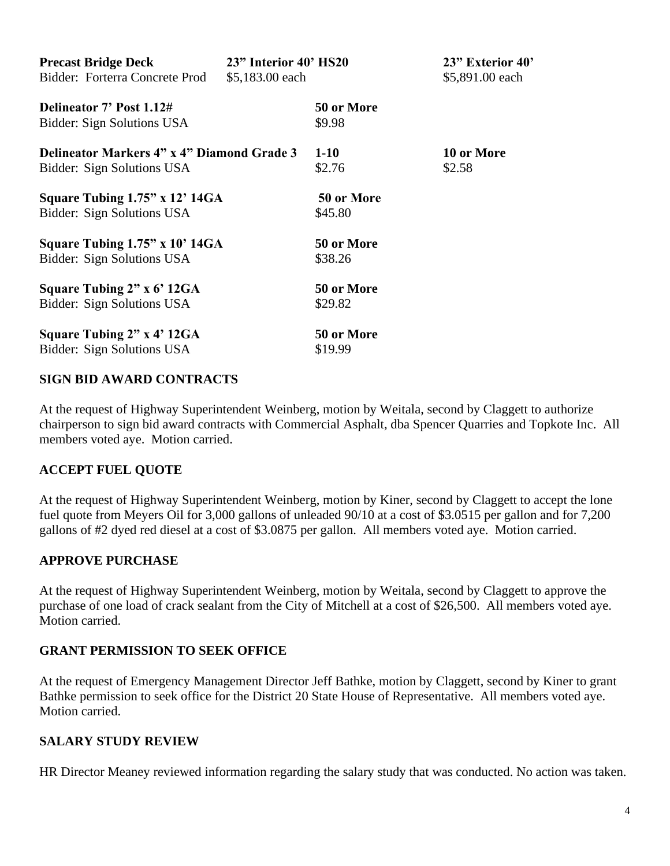| <b>Precast Bridge Deck</b>                        | 23" Interior 40' HS20 |            | 23" Exterior 40' |
|---------------------------------------------------|-----------------------|------------|------------------|
| Bidder: Forterra Concrete Prod<br>\$5,183.00 each |                       |            | \$5,891.00 each  |
| Delineator 7' Post 1.12#                          |                       | 50 or More |                  |
| Bidder: Sign Solutions USA                        |                       | \$9.98     |                  |
| Delineator Markers 4" x 4" Diamond Grade 3        |                       | $1-10$     | 10 or More       |
| Bidder: Sign Solutions USA                        |                       | \$2.76     | \$2.58           |
| Square Tubing $1.75$ " x $12'$ 14GA               |                       | 50 or More |                  |
| Bidder: Sign Solutions USA                        |                       | \$45.80    |                  |
| Square Tubing $1.75$ " x $10'$ 14GA               |                       | 50 or More |                  |
| Bidder: Sign Solutions USA                        |                       | \$38.26    |                  |
| Square Tubing 2" x 6' 12GA                        |                       | 50 or More |                  |
| Bidder: Sign Solutions USA                        |                       | \$29.82    |                  |
| Square Tubing 2" x 4' 12GA                        |                       | 50 or More |                  |
| Bidder: Sign Solutions USA                        |                       | \$19.99    |                  |

### **SIGN BID AWARD CONTRACTS**

At the request of Highway Superintendent Weinberg, motion by Weitala, second by Claggett to authorize chairperson to sign bid award contracts with Commercial Asphalt, dba Spencer Quarries and Topkote Inc. All members voted aye. Motion carried.

## **ACCEPT FUEL QUOTE**

At the request of Highway Superintendent Weinberg, motion by Kiner, second by Claggett to accept the lone fuel quote from Meyers Oil for 3,000 gallons of unleaded 90/10 at a cost of \$3.0515 per gallon and for 7,200 gallons of #2 dyed red diesel at a cost of \$3.0875 per gallon. All members voted aye. Motion carried.

#### **APPROVE PURCHASE**

At the request of Highway Superintendent Weinberg, motion by Weitala, second by Claggett to approve the purchase of one load of crack sealant from the City of Mitchell at a cost of \$26,500. All members voted aye. Motion carried.

#### **GRANT PERMISSION TO SEEK OFFICE**

At the request of Emergency Management Director Jeff Bathke, motion by Claggett, second by Kiner to grant Bathke permission to seek office for the District 20 State House of Representative. All members voted aye. Motion carried.

#### **SALARY STUDY REVIEW**

HR Director Meaney reviewed information regarding the salary study that was conducted. No action was taken.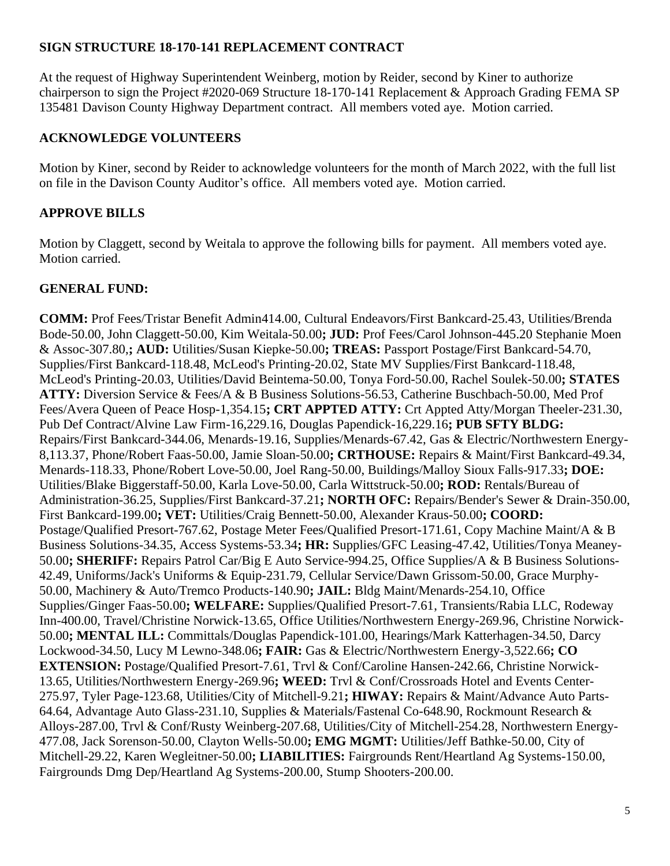## **SIGN STRUCTURE 18-170-141 REPLACEMENT CONTRACT**

At the request of Highway Superintendent Weinberg, motion by Reider, second by Kiner to authorize chairperson to sign the Project #2020-069 Structure 18-170-141 Replacement & Approach Grading FEMA SP 135481 Davison County Highway Department contract. All members voted aye. Motion carried.

# **ACKNOWLEDGE VOLUNTEERS**

Motion by Kiner, second by Reider to acknowledge volunteers for the month of March 2022, with the full list on file in the Davison County Auditor's office. All members voted aye. Motion carried.

# **APPROVE BILLS**

Motion by Claggett, second by Weitala to approve the following bills for payment. All members voted aye. Motion carried.

# **GENERAL FUND:**

**COMM:** Prof Fees/Tristar Benefit Admin414.00, Cultural Endeavors/First Bankcard-25.43, Utilities/Brenda Bode-50.00, John Claggett-50.00, Kim Weitala-50.00**; JUD:** Prof Fees/Carol Johnson-445.20 Stephanie Moen & Assoc-307.80,**; AUD:** Utilities/Susan Kiepke-50.00**; TREAS:** Passport Postage/First Bankcard-54.70, Supplies/First Bankcard-118.48, McLeod's Printing-20.02, State MV Supplies/First Bankcard-118.48, McLeod's Printing-20.03, Utilities/David Beintema-50.00, Tonya Ford-50.00, Rachel Soulek-50.00**; STATES ATTY:** Diversion Service & Fees/A & B Business Solutions-56.53, Catherine Buschbach-50.00, Med Prof Fees/Avera Queen of Peace Hosp-1,354.15**; CRT APPTED ATTY:** Crt Appted Atty/Morgan Theeler-231.30, Pub Def Contract/Alvine Law Firm-16,229.16, Douglas Papendick-16,229.16**; PUB SFTY BLDG:** Repairs/First Bankcard-344.06, Menards-19.16, Supplies/Menards-67.42, Gas & Electric/Northwestern Energy-8,113.37, Phone/Robert Faas-50.00, Jamie Sloan-50.00**; CRTHOUSE:** Repairs & Maint/First Bankcard-49.34, Menards-118.33, Phone/Robert Love-50.00, Joel Rang-50.00, Buildings/Malloy Sioux Falls-917.33**; DOE:** Utilities/Blake Biggerstaff-50.00, Karla Love-50.00, Carla Wittstruck-50.00**; ROD:** Rentals/Bureau of Administration-36.25, Supplies/First Bankcard-37.21**; NORTH OFC:** Repairs/Bender's Sewer & Drain-350.00, First Bankcard-199.00**; VET:** Utilities/Craig Bennett-50.00, Alexander Kraus-50.00**; COORD:** Postage/Qualified Presort-767.62, Postage Meter Fees/Qualified Presort-171.61, Copy Machine Maint/A & B Business Solutions-34.35, Access Systems-53.34**; HR:** Supplies/GFC Leasing-47.42, Utilities/Tonya Meaney-50.00**; SHERIFF:** Repairs Patrol Car/Big E Auto Service-994.25, Office Supplies/A & B Business Solutions-42.49, Uniforms/Jack's Uniforms & Equip-231.79, Cellular Service/Dawn Grissom-50.00, Grace Murphy-50.00, Machinery & Auto/Tremco Products-140.90**; JAIL:** Bldg Maint/Menards-254.10, Office Supplies/Ginger Faas-50.00**; WELFARE:** Supplies/Qualified Presort-7.61, Transients/Rabia LLC, Rodeway Inn-400.00, Travel/Christine Norwick-13.65, Office Utilities/Northwestern Energy-269.96, Christine Norwick-50.00**; MENTAL ILL:** Committals/Douglas Papendick-101.00, Hearings/Mark Katterhagen-34.50, Darcy Lockwood-34.50, Lucy M Lewno-348.06**; FAIR:** Gas & Electric/Northwestern Energy-3,522.66**; CO EXTENSION:** Postage/Qualified Presort-7.61, Trvl & Conf/Caroline Hansen-242.66, Christine Norwick-13.65, Utilities/Northwestern Energy-269.96**; WEED:** Trvl & Conf/Crossroads Hotel and Events Center-275.97, Tyler Page-123.68, Utilities/City of Mitchell-9.21**; HIWAY:** Repairs & Maint/Advance Auto Parts-64.64, Advantage Auto Glass-231.10, Supplies & Materials/Fastenal Co-648.90, Rockmount Research & Alloys-287.00, Trvl & Conf/Rusty Weinberg-207.68, Utilities/City of Mitchell-254.28, Northwestern Energy-477.08, Jack Sorenson-50.00, Clayton Wells-50.00**; EMG MGMT:** Utilities/Jeff Bathke-50.00, City of Mitchell-29.22, Karen Wegleitner-50.00**; LIABILITIES:** Fairgrounds Rent/Heartland Ag Systems-150.00, Fairgrounds Dmg Dep/Heartland Ag Systems-200.00, Stump Shooters-200.00.